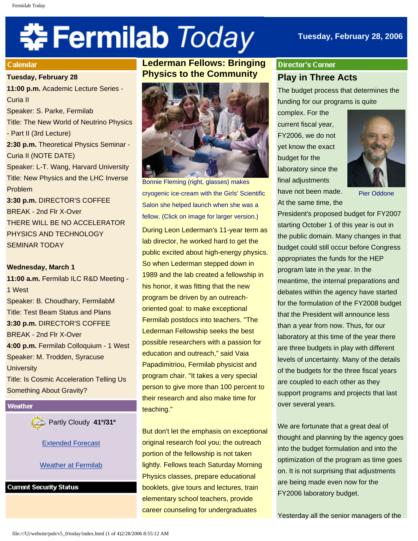# **☆Fermilab** *Today*

## **Tuesday, February 28, 2006**

#### **Calendar**

#### **Tuesday, February 28**

**11:00 p.m.** Academic Lecture Series - Curia II Speaker: S. Parke, Fermilab Title: The New World of Neutrino Physics - Part II (3rd Lecture) **2:30 p.m.** Theoretical Physics Seminar - Curia II (NOTE DATE) Speaker: L-T. Wang, Harvard University Title: New Physics and the LHC Inverse Problem **3:30 p.m.** DIRECTOR'S COFFEE BREAK - 2nd Flr X-Over THERE WILL BE NO ACCELERATOR

PHYSICS AND TECHNOLOGY SEMINAR TODAY

## **Wednesday, March 1**

**11:00 a.m.** Fermilab ILC R&D Meeting - 1 West Speaker: B. Choudhary, FermilabM Title: Test Beam Status and Plans **3:30 p.m.** DIRECTOR'S COFFEE BREAK - 2nd Flr X-Over **4:00 p.m.** Fermilab Colloquium - 1 West Speaker: M. Trodden, Syracuse **University** Title: Is Cosmic Acceleration Telling Us Something About Gravity?

Weather

Partly Cloudy **41º/31º**

#### [Extended Forecast](http://www.srh.noaa.gov/data/forecasts/ILZ012.php?warncounty=ILC089&city=Batavia)

[Weather at Fermilab](http://www-esh.fnal.gov/pls/default/weather.html) 

**Current Security Status** 

# **Lederman Fellows: Bringing Physics to the Community**



Bonnie Fleming (right, glasses) makes cryogenic ice-cream with the Girls' Scientific Salon she helped launch when she was a fellow. (Click on image for larger version.)

During Leon Lederman's 11-year term as lab director, he worked hard to get the public excited about high-energy physics. So when Lederman stepped down in 1989 and the lab created a fellowship in his honor, it was fitting that the new program be driven by an outreachoriented goal: to make exceptional Fermilab postdocs into teachers. "The Lederman Fellowship seeks the best possible researchers with a passion for education and outreach," said Vaia Papadimitriou, Fermilab physicist and program chair. "It takes a very special person to give more than 100 percent to their research and also make time for teaching."

But don't let the emphasis on exceptional original research fool you; the outreach portion of the fellowship is not taken lightly. Fellows teach Saturday Morning Physics classes, prepare educational booklets, give tours and lectures, train elementary school teachers, provide career counseling for undergraduates

# **Director's Corner Play in Three Acts**

The budget process that determines the funding for our programs is quite

complex. For the current fiscal year, FY2006, we do not yet know the exact budget for the laboratory since the final adjustments have not been made. At the same time, the



Pier Oddone

President's proposed budget for FY2007 starting October 1 of this year is out in the public domain. Many changes in that budget could still occur before Congress appropriates the funds for the HEP program late in the year. In the meantime, the internal preparations and debates within the agency have started for the formulation of the FY2008 budget that the President will announce less than a year from now. Thus, for our laboratory at this time of the year there are three budgets in play with different levels of uncertainty. Many of the details of the budgets for the three fiscal years are coupled to each other as they support programs and projects that last over several years.

We are fortunate that a great deal of thought and planning by the agency goes into the budget formulation and into the optimization of the program as time goes on. It is not surprising that adjustments are being made even now for the FY2006 laboratory budget.

Yesterday all the senior managers of the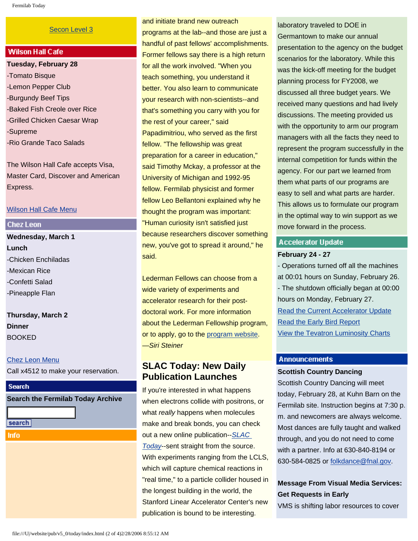#### [Secon Level 3](http://www.fnal.gov/pub/about/public_affairs/currentstatus.html)

## **Wilson Hall Cafe**

**Tuesday, February 28** -Tomato Bisque -Lemon Pepper Club -Burgundy Beef Tips -Baked Fish Creole over Rice -Grilled Chicken Caesar Wrap -Supreme -Rio Grande Taco Salads

The Wilson Hall Cafe accepts Visa, Master Card, Discover and American Express.

#### [Wilson Hall Cafe Menu](http://lss.fnal.gov/cafe/)

#### **Chez Leon**

**Wednesday, March 1 Lunch** -Chicken Enchiladas -Mexican Rice -Confetti Salad -Pineapple Flan

**Thursday, March 2 Dinner**  BOOKED

#### [Chez Leon Menu](http://lss.fnal.gov/chezleon/index.html)

Call x4512 to make your reservation.

## **Search**

## **Search the Fermilab Today Archive**

- search
- **Info**

and initiate brand new outreach programs at the lab--and those are just a handful of past fellows' accomplishments. Former fellows say there is a high return for all the work involved. "When you teach something, you understand it better. You also learn to communicate your research with non-scientists--and that's something you carry with you for the rest of your career," said Papadimitriou, who served as the first fellow. "The fellowship was great preparation for a career in education," said Timothy Mckay, a professor at the University of Michigan and 1992-95 fellow. Fermilab physicist and former fellow Leo Bellantoni explained why he thought the program was important: "Human curiosity isn't satisfied just because researchers discover something new, you've got to spread it around," he said.

Lederman Fellows can choose from a wide variety of experiments and accelerator research for their postdoctoral work. For more information about the Lederman Fellowship program, or to apply, go to the [program website.](http://www.fnal.gov/pub/forphysicists/fellowships/lederman.html) —*Siri Steiner*

## **SLAC Today: New Daily Publication Launches**

If you're interested in what happens when electrons collide with positrons, or what *really* happens when molecules make and break bonds, you can check out a new online publication--*[SLAC](http://today.slac.stanford.edu/) [Today](http://today.slac.stanford.edu/)*--sent straight from the source. With experiments ranging from the LCLS, which will capture chemical reactions in "real time," to a particle collider housed in the longest building in the world, the Stanford Linear Accelerator Center's new publication is bound to be interesting.

laboratory traveled to DOE in Germantown to make our annual presentation to the agency on the budget scenarios for the laboratory. While this was the kick-off meeting for the budget planning process for FY2008, we discussed all three budget years. We received many questions and had lively discussions. The meeting provided us with the opportunity to arm our program managers with all the facts they need to represent the program successfully in the internal competition for funds within the agency. For our part we learned from them what parts of our programs are easy to sell and what parts are harder. This allows us to formulate our program in the optimal way to win support as we move forward in the process.

## **Accelerator Update**

#### **February 24 - 27**

- Operations turned off all the machines at 00:01 hours on Sunday, February 26. - The shutdown officially began at 00:00 hours on Monday, February 27. [Read the Current Accelerator Update](http://www.fnal.gov/pub/news06/update.html) [Read the Early Bird Report](http://www-bd.fnal.gov/earlybird/ebird.html) [View the Tevatron Luminosity Charts](http://www.fnal.gov/pub/now/tevlum.html)

#### **Announcements**

#### **Scottish Country Dancing**

Scottish Country Dancing will meet today, February 28, at Kuhn Barn on the Fermilab site. Instruction begins at 7:30 p. m. and newcomers are always welcome. Most dances are fully taught and walked through, and you do not need to come with a partner. Info at 630-840-8194 or 630-584-0825 or [folkdance@fnal.gov](mailto:folkdance@fnal.gov).

## **Message From Visual Media Services: Get Requests in Early**

VMS is shifting labor resources to cover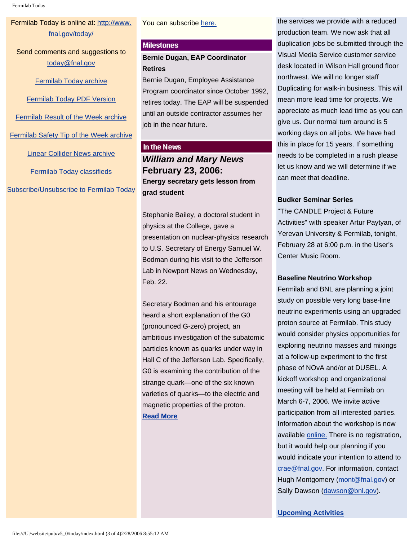Fermilab Today

## Fermilab Today is online at: [http://www.](http://www.fnal.gov/today/) [fnal.gov/today/](http://www.fnal.gov/today/)

Send comments and suggestions to [today@fnal.gov](mailto:today@fnal.gov)

[Fermilab Today archive](http://www.fnal.gov/pub/today/archive.html)

[Fermilab Today PDF Version](http://www.fnal.gov/pub/today/archive.html)

[Fermilab Result of the Week archive](http://www.fnal.gov/pub/today/resultoftheweek/index.html)

[Fermilab Safety Tip of the Week archive](http://www.fnal.gov/pub/today/safety/index.html)

[Linear Collider News archive](http://www.fnal.gov/pub/today/linearcollider/index.html)

[Fermilab Today classifieds](http://www.fnal.gov/pub/today/classifieds.html)

[Subscribe/Unsubscribe to Fermilab Today](http://www.fnal.gov/pub/today/subscription.html)

#### You can subscribe [here.](http://today.slac.stanford.edu/subscribe.asp)

## **Milestones**

**Bernie Dugan, EAP Coordinator Retires**

Bernie Dugan, Employee Assistance Program coordinator since October 1992, retires today. The EAP will be suspended until an outside contractor assumes her job in the near future.

## In the News

*William and Mary News* **February 23, 2006: Energy secretary gets lesson from grad student**

Stephanie Bailey, a doctoral student in physics at the College, gave a presentation on nuclear-physics research to U.S. Secretary of Energy Samuel W. Bodman during his visit to the Jefferson Lab in Newport News on Wednesday, Feb. 22.

Secretary Bodman and his entourage heard a short explanation of the G0 (pronounced G-zero) project, an ambitious investigation of the subatomic particles known as quarks under way in Hall C of the Jefferson Lab. Specifically, G0 is examining the contribution of the strange quark—one of the six known varieties of quarks—to the electric and magnetic properties of the proton. **[Read More](http://www.wm.edu/news/index.php?id=5662)**

the services we provide with a reduced production team. We now ask that all duplication jobs be submitted through the Visual Media Service customer service desk located in Wilson Hall ground floor northwest. We will no longer staff Duplicating for walk-in business. This will mean more lead time for projects. We appreciate as much lead time as you can give us. Our normal turn around is 5 working days on all jobs. We have had this in place for 15 years. If something needs to be completed in a rush please let us know and we will determine if we can meet that deadline.

## **Budker Seminar Series**

"The CANDLE Project & Future Activities" with speaker Artur Paytyan, of Yerevan University & Fermilab, tonight, February 28 at 6:00 p.m. in the User's Center Music Room.

## **Baseline Neutrino Workshop**

Fermilab and BNL are planning a joint study on possible very long base-line neutrino experiments using an upgraded proton source at Fermilab. This study would consider physics opportunities for exploring neutrino masses and mixings at a follow-up experiment to the first phase of NOvA and/or at DUSEL. A kickoff workshop and organizational meeting will be held at Fermilab on March 6-7, 2006. We invite active participation from all interested parties. Information about the workshop is now available [online.](http://www.fnal.gov/directorate/DirReviews/Neutrino_Wrkshp.html) There is no registration, but it would help our planning if you would indicate your intention to attend to [crae@fnal.gov](mailto:crae@fnal.gov). For information, contact Hugh Montgomery [\(mont@fnal.gov](mailto:mont@fnal.gov)) or Sally Dawson [\(dawson@bnl.gov\)](mailto:dawson@bnl.gov).

**[Upcoming Activities](http://www.fnal.gov/pub/today/upcoming_activities.html)**